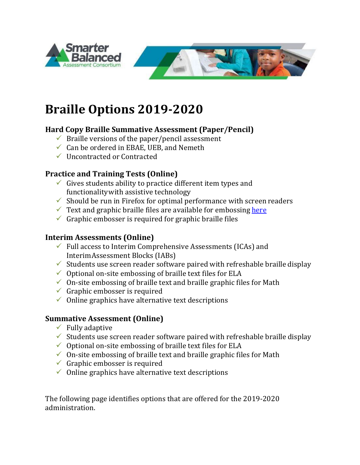

# **Braille Options 2019-2020**

## **Hard Copy Braille Summative Assessment (Paper/Pencil)**

- $\checkmark$  Braille versions of the paper/pencil assessment
- $\checkmark$  Can be ordered in EBAE, UEB, and Nemeth
- Uncontracted or Contracted

## **Practice and Training Tests (Online)**

- $\checkmark$  Gives students ability to practice different item types and functionalitywith assistive technology
- $\checkmark$  Should be run in Firefox for optimal performance with screen readers
- $\checkmark$  Text and graphic braille files are available for embossing [here](http://www.smarterbalanced.org/assessments/practice-and-training-tests/braille-embossing)
- $\checkmark$  Graphic embosser is required for graphic braille files

#### **Interim Assessments (Online)**

- $\checkmark$  Full access to Interim Comprehensive Assessments (ICAs) and InterimAssessment Blocks (IABs)
- $\checkmark$  Students use screen reader software paired with refreshable braille display
- $\checkmark$  Optional on-site embossing of braille text files for ELA
- $\checkmark$  On-site embossing of braille text and braille graphic files for Math
- $\checkmark$  Graphic embosser is required
- $\checkmark$  Online graphics have alternative text descriptions

#### **Summative Assessment (Online)**

- $\checkmark$  Fully adaptive
- $\checkmark$  Students use screen reader software paired with refreshable braille display
- $\checkmark$  Optional on-site embossing of braille text files for ELA
- $\checkmark$  On-site embossing of braille text and braille graphic files for Math
- $\checkmark$  Graphic embosser is required
- $\checkmark$  Online graphics have alternative text descriptions

The following page identifies options that are offered for the 2019-2020 administration.